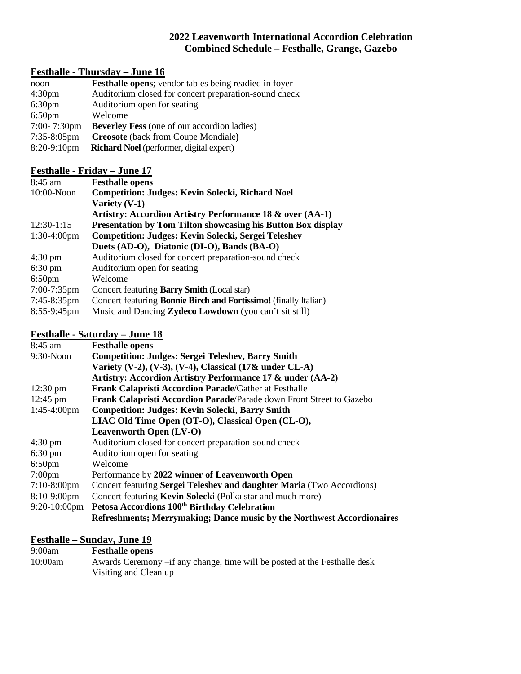## **2022 Leavenworth International Accordion Celebration Combined Schedule – Festhalle, Grange, Gazebo**

# **Festhalle - Thursday – June 16**

| noon               | <b>Festhalle opens</b> ; vendor tables being readied in foyer |
|--------------------|---------------------------------------------------------------|
| 4:30 <sub>pm</sub> | Auditorium closed for concert preparation-sound check         |
| 6:30 <sub>pm</sub> | Auditorium open for seating                                   |
| 6:50 <sub>pm</sub> | Welcome                                                       |
| 7:00-7:30pm        | <b>Beverley Fess</b> (one of our accordion ladies)            |
| $7:35-8:05$ pm     | <b>Creosote</b> (back from Coupe Mondiale)                    |
| 8:20-9:10pm        | <b>Richard Noel</b> (performer, digital expert)               |

## **Festhalle - Friday – June 17**

| $8:45$ am         | <b>Festhalle opens</b>                                                  |
|-------------------|-------------------------------------------------------------------------|
| $10:00-N$ oon     | <b>Competition: Judges: Kevin Solecki, Richard Noel</b>                 |
|                   | Variety $(V-1)$                                                         |
|                   | Artistry: Accordion Artistry Performance 18 & over (AA-1)               |
| $12:30-1:15$      | <b>Presentation by Tom Tilton showcasing his Button Box display</b>     |
| $1:30-4:00$ pm    | Competition: Judges: Kevin Solecki, Sergei Teleshev                     |
|                   | Duets (AD-O), Diatonic (DI-O), Bands (BA-O)                             |
| $4:30 \text{ pm}$ | Auditorium closed for concert preparation-sound check                   |
| $6:30 \text{ pm}$ | Auditorium open for seating                                             |
| $6:50 \text{pm}$  | Welcome                                                                 |
| $7:00-7:35$ pm    | Concert featuring <b>Barry Smith</b> (Local star)                       |
| $7:45-8:35$ pm    | Concert featuring <b>Bonnie Birch and Fortissimo!</b> (finally Italian) |
| 8:55-9:45pm       | Music and Dancing Zydeco Lowdown (you can't sit still)                  |

# **Festhalle - Saturday – June 18**

| 8:45 am               | <b>Festhalle opens</b>                                                 |
|-----------------------|------------------------------------------------------------------------|
| 9:30-Noon             | <b>Competition: Judges: Sergei Teleshev, Barry Smith</b>               |
|                       | Variety (V-2), (V-3), (V-4), Classical $(17&$ under CL-A)              |
|                       | Artistry: Accordion Artistry Performance 17 & under (AA-2)             |
| $12:30 \text{ pm}$    | <b>Frank Calapristi Accordion Parade/Gather at Festhalle</b>           |
| $12:45 \text{ pm}$    | Frank Calapristi Accordion Parade/Parade down Front Street to Gazebo   |
| $1:45-4:00 \text{pm}$ | <b>Competition: Judges: Kevin Solecki, Barry Smith</b>                 |
|                       | LIAC Old Time Open (OT-O), Classical Open (CL-O),                      |
|                       | <b>Leavenworth Open (LV-O)</b>                                         |
| $4:30 \text{ pm}$     | Auditorium closed for concert preparation-sound check                  |
| $6:30 \text{ pm}$     | Auditorium open for seating                                            |
| $6:50$ pm             | Welcome                                                                |
| $7:00 \text{pm}$      | Performance by 2022 winner of Leavenworth Open                         |
| $7:10-8:00$ pm        | Concert featuring Sergei Teleshev and daughter Maria (Two Accordions)  |
| $8:10-9:00$ pm        | Concert featuring Kevin Solecki (Polka star and much more)             |
| $9:20-10:00$ pm       | Petosa Accordions 100 <sup>th</sup> Birthday Celebration               |
|                       | Refreshments; Merrymaking; Dance music by the Northwest Accordionaires |

# **Festhalle – Sunday, June 19**

| 9:00am  | <b>Festhalle opens</b>                                                     |
|---------|----------------------------------------------------------------------------|
| 10:00am | Awards Ceremony – if any change, time will be posted at the Festhalle desk |
|         | Visiting and Clean up                                                      |